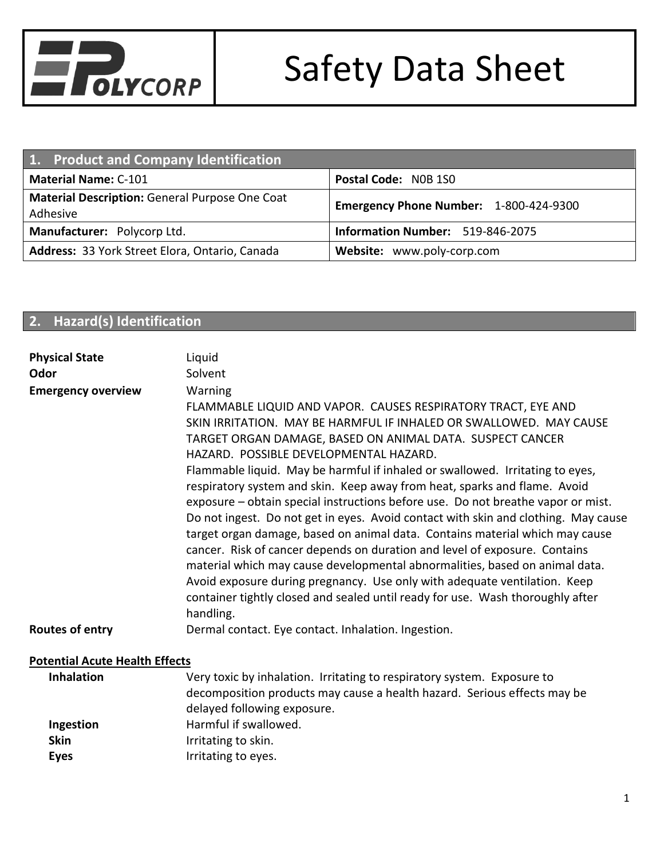

| 1. Product and Company Identification                      |                                        |  |
|------------------------------------------------------------|----------------------------------------|--|
| <b>Material Name: C-101</b>                                | Postal Code: NOB 1SO                   |  |
| Material Description: General Purpose One Coat<br>Adhesive | Emergency Phone Number: 1-800-424-9300 |  |
| Manufacturer: Polycorp Ltd.                                | Information Number: 519-846-2075       |  |
| Address: 33 York Street Elora, Ontario, Canada             | Website: www.poly-corp.com             |  |

#### **2. Hazard(s) Identification**

| <b>Physical State</b><br>Odor         | Liquid<br>Solvent                                                                                                                                                                                                                                                                                                                                                                                                                                                                                                                                                                                                                                                                                                                                                                                                                                                                                                                                                                                                      |
|---------------------------------------|------------------------------------------------------------------------------------------------------------------------------------------------------------------------------------------------------------------------------------------------------------------------------------------------------------------------------------------------------------------------------------------------------------------------------------------------------------------------------------------------------------------------------------------------------------------------------------------------------------------------------------------------------------------------------------------------------------------------------------------------------------------------------------------------------------------------------------------------------------------------------------------------------------------------------------------------------------------------------------------------------------------------|
| <b>Emergency overview</b>             | Warning<br>FLAMMABLE LIQUID AND VAPOR. CAUSES RESPIRATORY TRACT, EYE AND<br>SKIN IRRITATION. MAY BE HARMFUL IF INHALED OR SWALLOWED. MAY CAUSE<br>TARGET ORGAN DAMAGE, BASED ON ANIMAL DATA. SUSPECT CANCER<br>HAZARD. POSSIBLE DEVELOPMENTAL HAZARD.<br>Flammable liquid. May be harmful if inhaled or swallowed. Irritating to eyes,<br>respiratory system and skin. Keep away from heat, sparks and flame. Avoid<br>exposure – obtain special instructions before use. Do not breathe vapor or mist.<br>Do not ingest. Do not get in eyes. Avoid contact with skin and clothing. May cause<br>target organ damage, based on animal data. Contains material which may cause<br>cancer. Risk of cancer depends on duration and level of exposure. Contains<br>material which may cause developmental abnormalities, based on animal data.<br>Avoid exposure during pregnancy. Use only with adequate ventilation. Keep<br>container tightly closed and sealed until ready for use. Wash thoroughly after<br>handling. |
| Routes of entry                       | Dermal contact. Eye contact. Inhalation. Ingestion.                                                                                                                                                                                                                                                                                                                                                                                                                                                                                                                                                                                                                                                                                                                                                                                                                                                                                                                                                                    |
| <b>Potential Acute Health Effects</b> |                                                                                                                                                                                                                                                                                                                                                                                                                                                                                                                                                                                                                                                                                                                                                                                                                                                                                                                                                                                                                        |
| <b>Inhalation</b>                     | Very toxic by inhalation. Irritating to respiratory system. Exposure to<br>decomposition products may cause a health hazard. Serious effects may be<br>delayed following exposure.                                                                                                                                                                                                                                                                                                                                                                                                                                                                                                                                                                                                                                                                                                                                                                                                                                     |
| Ingestion<br><b>Skin</b>              | Harmful if swallowed.                                                                                                                                                                                                                                                                                                                                                                                                                                                                                                                                                                                                                                                                                                                                                                                                                                                                                                                                                                                                  |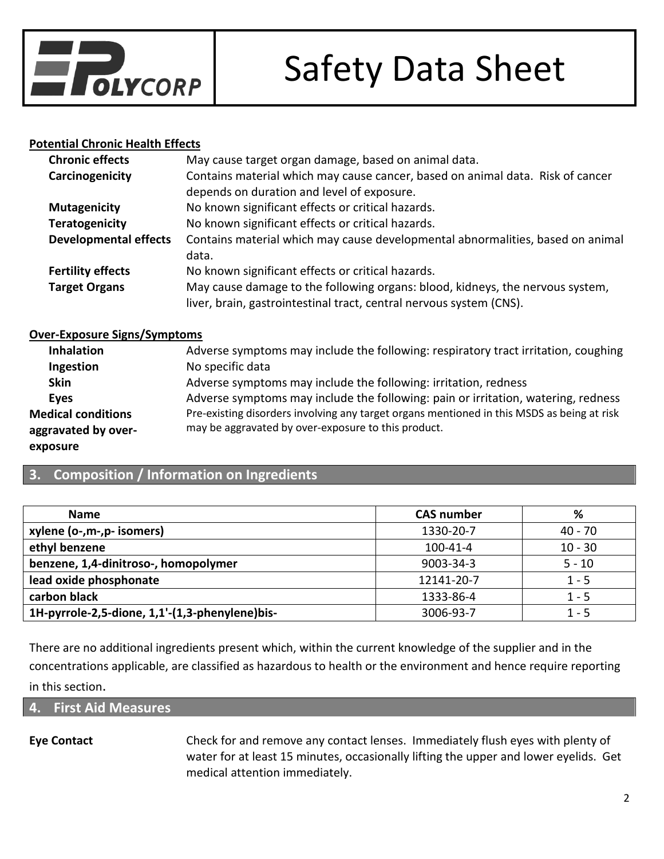

#### **Potential Chronic Health Effects**

| <b>Chronic effects</b>       | May cause target organ damage, based on animal data.                                                                         |
|------------------------------|------------------------------------------------------------------------------------------------------------------------------|
| Carcinogenicity              | Contains material which may cause cancer, based on animal data. Risk of cancer<br>depends on duration and level of exposure. |
| <b>Mutagenicity</b>          | No known significant effects or critical hazards.                                                                            |
| <b>Teratogenicity</b>        | No known significant effects or critical hazards.                                                                            |
| <b>Developmental effects</b> | Contains material which may cause developmental abnormalities, based on animal                                               |
|                              | data.                                                                                                                        |
| <b>Fertility effects</b>     | No known significant effects or critical hazards.                                                                            |
| <b>Target Organs</b>         | May cause damage to the following organs: blood, kidneys, the nervous system,                                                |
|                              | liver, brain, gastrointestinal tract, central nervous system (CNS).                                                          |

#### **Over-Exposure Signs/Symptoms**

| Adverse symptoms may include the following: respiratory tract irritation, coughing         |
|--------------------------------------------------------------------------------------------|
| No specific data                                                                           |
| Adverse symptoms may include the following: irritation, redness                            |
| Adverse symptoms may include the following: pain or irritation, watering, redness          |
| Pre-existing disorders involving any target organs mentioned in this MSDS as being at risk |
| may be aggravated by over-exposure to this product.                                        |
|                                                                                            |
|                                                                                            |

### **3. Composition / Information on Ingredients**

| <b>Name</b>                                    | <b>CAS number</b> | ℅         |
|------------------------------------------------|-------------------|-----------|
| xylene (o-,m-,p- isomers)                      | 1330-20-7         | $40 - 70$ |
| ethyl benzene                                  | $100 - 41 - 4$    | $10 - 30$ |
| benzene, 1,4-dinitroso-, homopolymer           | 9003-34-3         | $5 - 10$  |
| lead oxide phosphonate                         | 12141-20-7        | $1 - 5$   |
| carbon black                                   | 1333-86-4         | $1 - 5$   |
| 1H-pyrrole-2,5-dione, 1,1'-(1,3-phenylene)bis- | 3006-93-7         | $1 - 5$   |

There are no additional ingredients present which, within the current knowledge of the supplier and in the concentrations applicable, are classified as hazardous to health or the environment and hence require reporting in this section.

**4. First Aid Measures**

**Eye Contact** Check for and remove any contact lenses. Immediately flush eyes with plenty of water for at least 15 minutes, occasionally lifting the upper and lower eyelids. Get medical attention immediately.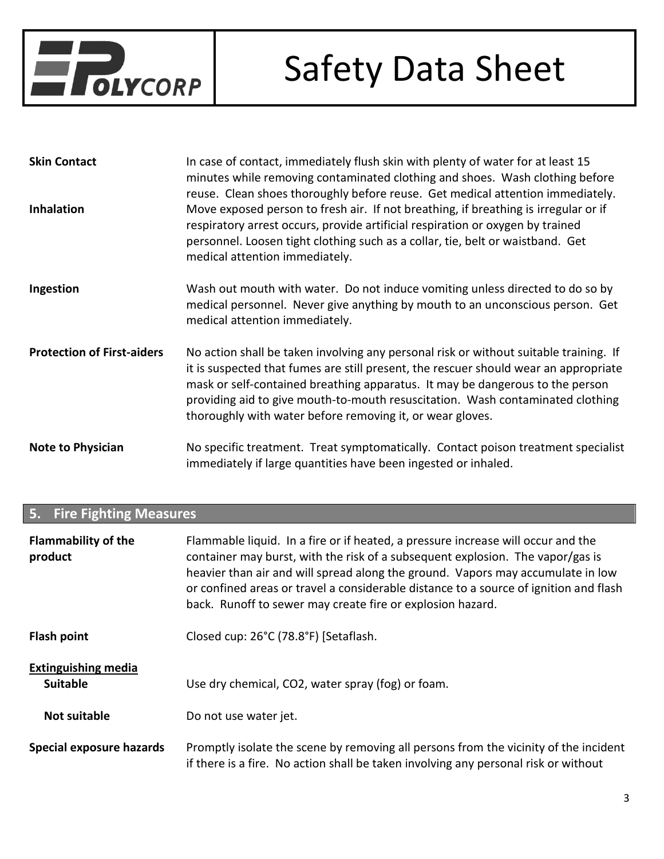

| <b>Skin Contact</b>               | In case of contact, immediately flush skin with plenty of water for at least 15<br>minutes while removing contaminated clothing and shoes. Wash clothing before<br>reuse. Clean shoes thoroughly before reuse. Get medical attention immediately.                                                                                                                                                             |
|-----------------------------------|---------------------------------------------------------------------------------------------------------------------------------------------------------------------------------------------------------------------------------------------------------------------------------------------------------------------------------------------------------------------------------------------------------------|
| <b>Inhalation</b>                 | Move exposed person to fresh air. If not breathing, if breathing is irregular or if<br>respiratory arrest occurs, provide artificial respiration or oxygen by trained<br>personnel. Loosen tight clothing such as a collar, tie, belt or waistband. Get<br>medical attention immediately.                                                                                                                     |
| Ingestion                         | Wash out mouth with water. Do not induce vomiting unless directed to do so by<br>medical personnel. Never give anything by mouth to an unconscious person. Get<br>medical attention immediately.                                                                                                                                                                                                              |
| <b>Protection of First-aiders</b> | No action shall be taken involving any personal risk or without suitable training. If<br>it is suspected that fumes are still present, the rescuer should wear an appropriate<br>mask or self-contained breathing apparatus. It may be dangerous to the person<br>providing aid to give mouth-to-mouth resuscitation. Wash contaminated clothing<br>thoroughly with water before removing it, or wear gloves. |
| <b>Note to Physician</b>          | No specific treatment. Treat symptomatically. Contact poison treatment specialist<br>immediately if large quantities have been ingested or inhaled.                                                                                                                                                                                                                                                           |

### **5. Fire Fighting Measures**

| <b>Flammability of the</b><br>product         | Flammable liquid. In a fire or if heated, a pressure increase will occur and the<br>container may burst, with the risk of a subsequent explosion. The vapor/gas is<br>heavier than air and will spread along the ground. Vapors may accumulate in low<br>or confined areas or travel a considerable distance to a source of ignition and flash<br>back. Runoff to sewer may create fire or explosion hazard. |
|-----------------------------------------------|--------------------------------------------------------------------------------------------------------------------------------------------------------------------------------------------------------------------------------------------------------------------------------------------------------------------------------------------------------------------------------------------------------------|
| <b>Flash point</b>                            | Closed cup: 26°C (78.8°F) [Setaflash.                                                                                                                                                                                                                                                                                                                                                                        |
| <b>Extinguishing media</b><br><b>Suitable</b> | Use dry chemical, CO2, water spray (fog) or foam.                                                                                                                                                                                                                                                                                                                                                            |
| <b>Not suitable</b>                           | Do not use water jet.                                                                                                                                                                                                                                                                                                                                                                                        |
| Special exposure hazards                      | Promptly isolate the scene by removing all persons from the vicinity of the incident<br>if there is a fire. No action shall be taken involving any personal risk or without                                                                                                                                                                                                                                  |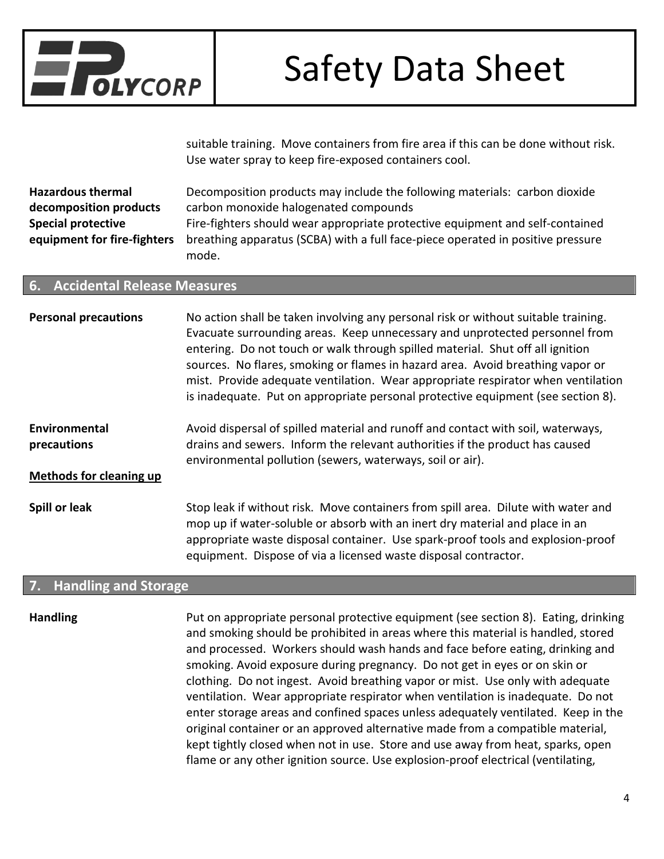

suitable training. Move containers from fire area if this can be done without risk. Use water spray to keep fire-exposed containers cool.

| <b>Hazardous thermal</b>    | Decomposition products may include the following materials: carbon dioxide      |
|-----------------------------|---------------------------------------------------------------------------------|
| decomposition products      | carbon monoxide halogenated compounds                                           |
| <b>Special protective</b>   | Fire-fighters should wear appropriate protective equipment and self-contained   |
| equipment for fire-fighters | breathing apparatus (SCBA) with a full face-piece operated in positive pressure |
|                             | mode.                                                                           |

#### **6. Accidental Release Measures**

| <b>Personal precautions</b>                                    | No action shall be taken involving any personal risk or without suitable training.<br>Evacuate surrounding areas. Keep unnecessary and unprotected personnel from<br>entering. Do not touch or walk through spilled material. Shut off all ignition<br>sources. No flares, smoking or flames in hazard area. Avoid breathing vapor or<br>mist. Provide adequate ventilation. Wear appropriate respirator when ventilation<br>is inadequate. Put on appropriate personal protective equipment (see section 8). |
|----------------------------------------------------------------|---------------------------------------------------------------------------------------------------------------------------------------------------------------------------------------------------------------------------------------------------------------------------------------------------------------------------------------------------------------------------------------------------------------------------------------------------------------------------------------------------------------|
| Environmental<br>precautions<br><b>Methods for cleaning up</b> | Avoid dispersal of spilled material and runoff and contact with soil, waterways,<br>drains and sewers. Inform the relevant authorities if the product has caused<br>environmental pollution (sewers, waterways, soil or air).                                                                                                                                                                                                                                                                                 |
| Spill or leak                                                  | Stop leak if without risk. Move containers from spill area. Dilute with water and<br>mop up if water-soluble or absorb with an inert dry material and place in an<br>appropriate waste disposal container. Use spark-proof tools and explosion-proof<br>equipment. Dispose of via a licensed waste disposal contractor.                                                                                                                                                                                       |

#### **7. Handling and Storage**

**Handling** Put on appropriate personal protective equipment (see section 8). Eating, drinking and smoking should be prohibited in areas where this material is handled, stored and processed. Workers should wash hands and face before eating, drinking and smoking. Avoid exposure during pregnancy. Do not get in eyes or on skin or clothing. Do not ingest. Avoid breathing vapor or mist. Use only with adequate ventilation. Wear appropriate respirator when ventilation is inadequate. Do not enter storage areas and confined spaces unless adequately ventilated. Keep in the original container or an approved alternative made from a compatible material, kept tightly closed when not in use. Store and use away from heat, sparks, open flame or any other ignition source. Use explosion-proof electrical (ventilating,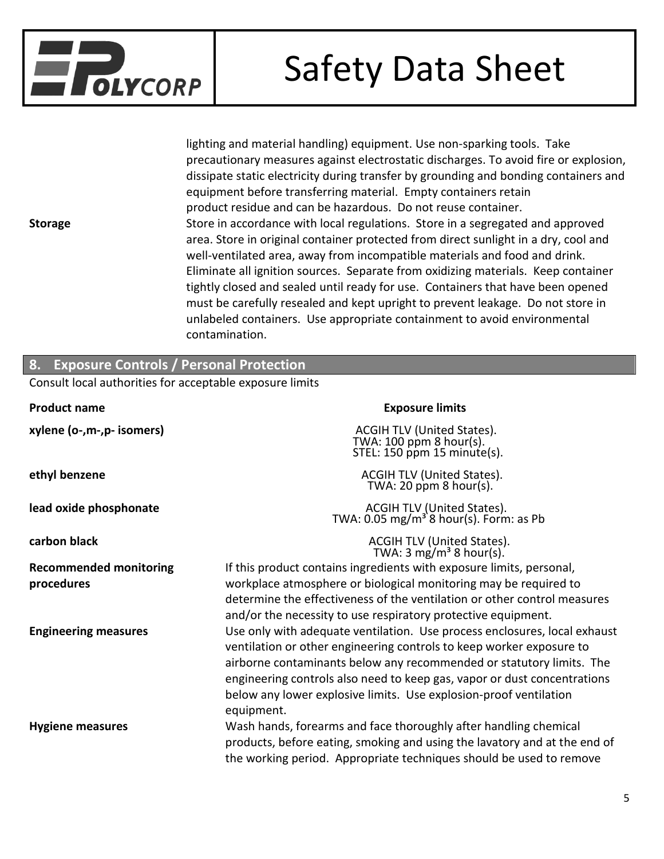

lighting and material handling) equipment. Use non-sparking tools. Take precautionary measures against electrostatic discharges. To avoid fire or explosion, dissipate static electricity during transfer by grounding and bonding containers and equipment before transferring material. Empty containers retain product residue and can be hazardous. Do not reuse container. **Storage** Store in accordance with local regulations. Store in a segregated and approved area. Store in original container protected from direct sunlight in a dry, cool and well-ventilated area, away from incompatible materials and food and drink. Eliminate all ignition sources. Separate from oxidizing materials. Keep container tightly closed and sealed until ready for use. Containers that have been opened must be carefully resealed and kept upright to prevent leakage. Do not store in unlabeled containers. Use appropriate containment to avoid environmental contamination.

| 8. Exposure Controls / Personal Protection               |                                                                                                                                                                                                                                                                                                                                                                                          |  |
|----------------------------------------------------------|------------------------------------------------------------------------------------------------------------------------------------------------------------------------------------------------------------------------------------------------------------------------------------------------------------------------------------------------------------------------------------------|--|
| Consult local authorities for acceptable exposure limits |                                                                                                                                                                                                                                                                                                                                                                                          |  |
| <b>Product name</b>                                      | <b>Exposure limits</b>                                                                                                                                                                                                                                                                                                                                                                   |  |
| xylene (o-,m-,p- isomers)                                | ACGIH TLV (United States).<br>TWA: 100 ppm 8 hour(s).<br>STEL: $150$ ppm $15$ minute(s).                                                                                                                                                                                                                                                                                                 |  |
| ethyl benzene                                            | ACGIH TLV (United States).<br>TWA: 20 ppm $8$ hour(s).                                                                                                                                                                                                                                                                                                                                   |  |
| lead oxide phosphonate                                   | ACGIH TLV (United States).<br>TWA: 0.05 mg/m <sup>3</sup> 8 hour(s). Form: as Pb                                                                                                                                                                                                                                                                                                         |  |
| carbon black                                             | ACGIH TLV (United States).<br>TWA: 3 mg/m <sup>3</sup> 8 hour(s).                                                                                                                                                                                                                                                                                                                        |  |
| <b>Recommended monitoring</b>                            | If this product contains ingredients with exposure limits, personal,                                                                                                                                                                                                                                                                                                                     |  |
| procedures                                               | workplace atmosphere or biological monitoring may be required to<br>determine the effectiveness of the ventilation or other control measures<br>and/or the necessity to use respiratory protective equipment.                                                                                                                                                                            |  |
| <b>Engineering measures</b>                              | Use only with adequate ventilation. Use process enclosures, local exhaust<br>ventilation or other engineering controls to keep worker exposure to<br>airborne contaminants below any recommended or statutory limits. The<br>engineering controls also need to keep gas, vapor or dust concentrations<br>below any lower explosive limits. Use explosion-proof ventilation<br>equipment. |  |
| <b>Hygiene measures</b>                                  | Wash hands, forearms and face thoroughly after handling chemical<br>products, before eating, smoking and using the lavatory and at the end of<br>the working period. Appropriate techniques should be used to remove                                                                                                                                                                     |  |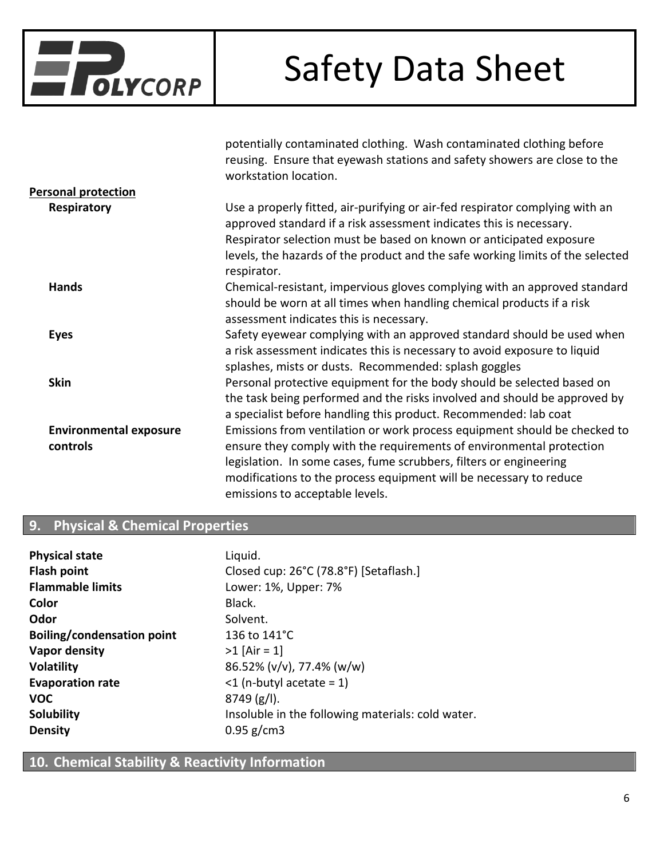

potentially contaminated clothing. Wash contaminated clothing before

|                               | reusing. Ensure that eyewash stations and safety showers are close to the<br>workstation location.                                                                                                                                                                                                                          |
|-------------------------------|-----------------------------------------------------------------------------------------------------------------------------------------------------------------------------------------------------------------------------------------------------------------------------------------------------------------------------|
| <b>Personal protection</b>    |                                                                                                                                                                                                                                                                                                                             |
| Respiratory                   | Use a properly fitted, air-purifying or air-fed respirator complying with an<br>approved standard if a risk assessment indicates this is necessary.<br>Respirator selection must be based on known or anticipated exposure<br>levels, the hazards of the product and the safe working limits of the selected<br>respirator. |
| <b>Hands</b>                  | Chemical-resistant, impervious gloves complying with an approved standard<br>should be worn at all times when handling chemical products if a risk<br>assessment indicates this is necessary.                                                                                                                               |
| <b>Eyes</b>                   | Safety eyewear complying with an approved standard should be used when<br>a risk assessment indicates this is necessary to avoid exposure to liquid<br>splashes, mists or dusts. Recommended: splash goggles                                                                                                                |
| <b>Skin</b>                   | Personal protective equipment for the body should be selected based on<br>the task being performed and the risks involved and should be approved by<br>a specialist before handling this product. Recommended: lab coat                                                                                                     |
| <b>Environmental exposure</b> | Emissions from ventilation or work process equipment should be checked to                                                                                                                                                                                                                                                   |
| controls                      | ensure they comply with the requirements of environmental protection                                                                                                                                                                                                                                                        |
|                               | legislation. In some cases, fume scrubbers, filters or engineering                                                                                                                                                                                                                                                          |
|                               | modifications to the process equipment will be necessary to reduce                                                                                                                                                                                                                                                          |
|                               | emissions to acceptable levels.                                                                                                                                                                                                                                                                                             |

#### **9. Physical & Chemical Properties**

| <b>Physical state</b>             | Liquid.                                           |
|-----------------------------------|---------------------------------------------------|
| <b>Flash point</b>                | Closed cup: 26°C (78.8°F) [Setaflash.]            |
| <b>Flammable limits</b>           | Lower: 1%, Upper: 7%                              |
| Color                             | Black.                                            |
| Odor                              | Solvent.                                          |
| <b>Boiling/condensation point</b> | 136 to 141°C                                      |
| Vapor density                     | $>1$ [Air = 1]                                    |
| <b>Volatility</b>                 | 86.52% (v/v), 77.4% (w/w)                         |
| <b>Evaporation rate</b>           | $\leq$ (n-butyl acetate = 1)                      |
| <b>VOC</b>                        | $8749(g/l)$ .                                     |
| <b>Solubility</b>                 | Insoluble in the following materials: cold water. |
| <b>Density</b>                    | $0.95$ g/cm3                                      |

### **10. Chemical Stability & Reactivity Information**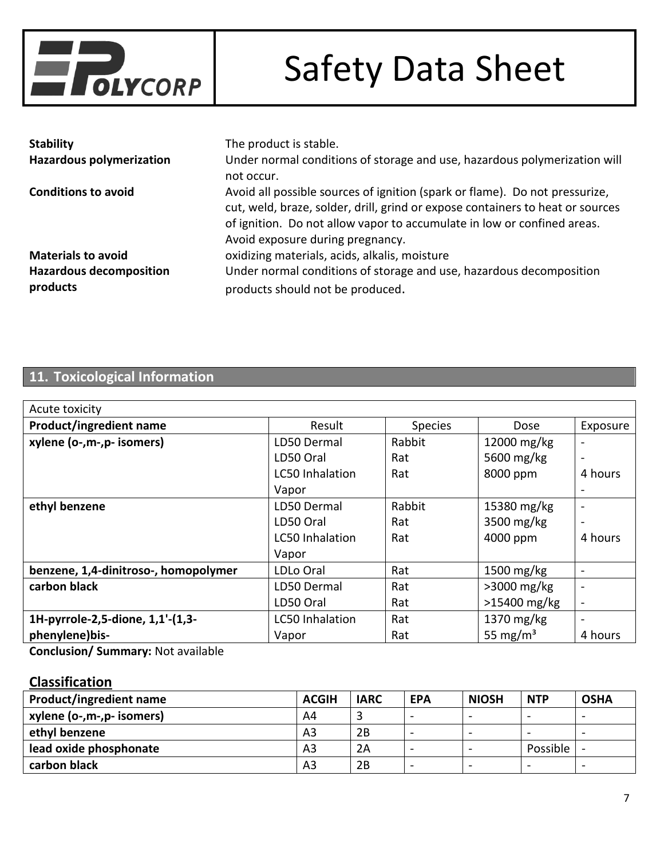

| <b>Stability</b>                           | The product is stable.                                                                                                                                                                                                                                                       |
|--------------------------------------------|------------------------------------------------------------------------------------------------------------------------------------------------------------------------------------------------------------------------------------------------------------------------------|
| <b>Hazardous polymerization</b>            | Under normal conditions of storage and use, hazardous polymerization will<br>not occur.                                                                                                                                                                                      |
| <b>Conditions to avoid</b>                 | Avoid all possible sources of ignition (spark or flame). Do not pressurize,<br>cut, weld, braze, solder, drill, grind or expose containers to heat or sources<br>of ignition. Do not allow vapor to accumulate in low or confined areas.<br>Avoid exposure during pregnancy. |
| <b>Materials to avoid</b>                  | oxidizing materials, acids, alkalis, moisture                                                                                                                                                                                                                                |
| <b>Hazardous decomposition</b><br>products | Under normal conditions of storage and use, hazardous decomposition<br>products should not be produced.                                                                                                                                                                      |

### **11. Toxicological Information**

| Acute toxicity                       |                        |                |                      |                          |
|--------------------------------------|------------------------|----------------|----------------------|--------------------------|
| Product/ingredient name              | Result                 | <b>Species</b> | Dose                 | Exposure                 |
| xylene (o-,m-,p- isomers)            | LD50 Dermal            | Rabbit         | 12000 mg/kg          | $\overline{\phantom{0}}$ |
|                                      | LD50 Oral              | Rat            | 5600 mg/kg           | $\blacksquare$           |
|                                      | <b>LC50 Inhalation</b> | Rat            | 8000 ppm             | 4 hours                  |
|                                      | Vapor                  |                |                      |                          |
| ethyl benzene                        | LD50 Dermal            | Rabbit         | 15380 mg/kg          |                          |
|                                      | LD50 Oral              | Rat            | 3500 mg/kg           |                          |
|                                      | <b>LC50 Inhalation</b> | Rat            | 4000 ppm             | 4 hours                  |
|                                      | Vapor                  |                |                      |                          |
| benzene, 1,4-dinitroso-, homopolymer | LDLo Oral              | Rat            | 1500 mg/kg           | $\overline{\phantom{0}}$ |
| carbon black                         | LD50 Dermal            | Rat            | $>3000$ mg/kg        | $\overline{\phantom{0}}$ |
|                                      | LD50 Oral              | Rat            | $>15400$ mg/kg       | $\overline{\phantom{0}}$ |
| 1H-pyrrole-2,5-dione, 1,1'-(1,3-     | <b>LC50 Inhalation</b> | Rat            | $1370$ mg/kg         | $\overline{\phantom{0}}$ |
| phenylene)bis-                       | Vapor                  | Rat            | 55 mg/m <sup>3</sup> | 4 hours                  |

**Conclusion/ Summary:** Not available

### **Classification**

| <b>Product/ingredient name</b> | <b>ACGIH</b> | <b>IARC</b> | <b>EPA</b>               | <b>NIOSH</b> | <b>NTP</b>               | <b>OSHA</b>              |
|--------------------------------|--------------|-------------|--------------------------|--------------|--------------------------|--------------------------|
| xylene (o-,m-,p- isomers)      | A4           |             | $\overline{\phantom{0}}$ | -            |                          | $\overline{\phantom{0}}$ |
| ethyl benzene                  | A3           | 2B          | $\overline{\phantom{0}}$ | -            | $\overline{\phantom{0}}$ | $\overline{\phantom{0}}$ |
| lead oxide phosphonate         | A3           | 2Α          | -                        | -            | Possible                 |                          |
| carbon black                   | A3           | 2B          | $\overline{\phantom{a}}$ | -            | $\overline{\phantom{a}}$ | $\,$                     |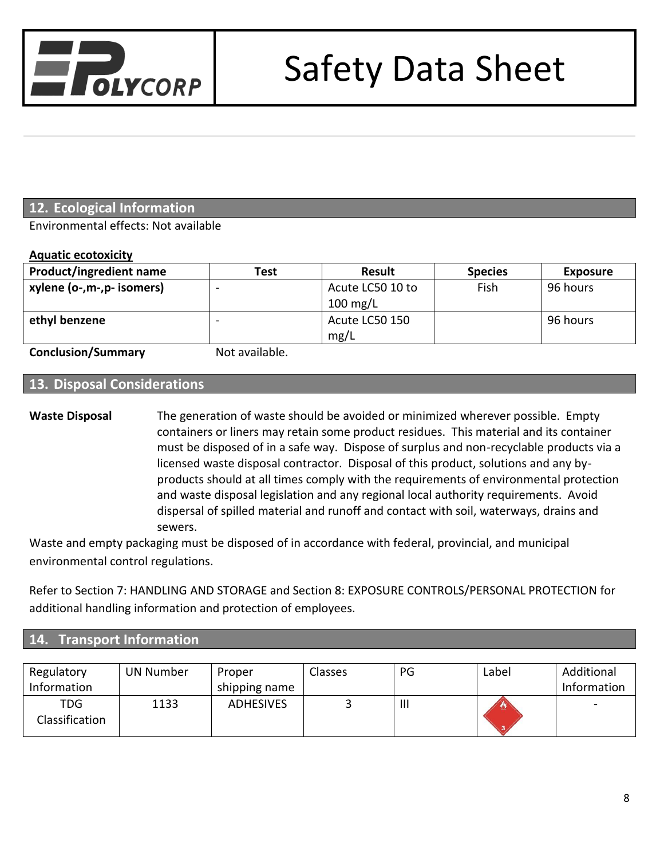

### **12. Ecological Information**

Environmental effects: Not available

#### **Aquatic ecotoxicity**

| <b>Product/ingredient name</b> | Test | <b>Result</b>          | <b>Species</b> | <b>Exposure</b> |
|--------------------------------|------|------------------------|----------------|-----------------|
| xylene (o-,m-,p- isomers)      | -    | Acute LC50 10 to       | Fish           | 96 hours        |
|                                |      | $100 \text{ mg/L}$     |                |                 |
| ethyl benzene                  |      | Acute LC50 150<br>mg/L |                | 96 hours        |
|                                |      |                        |                |                 |

**Conclusion/Summary Not available.** 

### **13. Disposal Considerations**

**Waste Disposal** The generation of waste should be avoided or minimized wherever possible. Empty containers or liners may retain some product residues. This material and its container must be disposed of in a safe way. Dispose of surplus and non-recyclable products via a licensed waste disposal contractor. Disposal of this product, solutions and any byproducts should at all times comply with the requirements of environmental protection and waste disposal legislation and any regional local authority requirements. Avoid dispersal of spilled material and runoff and contact with soil, waterways, drains and sewers.

Waste and empty packaging must be disposed of in accordance with federal, provincial, and municipal environmental control regulations.

Refer to Section 7: HANDLING AND STORAGE and Section 8: EXPOSURE CONTROLS/PERSONAL PROTECTION for additional handling information and protection of employees.

#### **14. Transport Information**

| Regulatory<br>Information    | <b>UN Number</b> | Proper<br>shipping name | Classes | PG             | Label | Additional<br>Information |
|------------------------------|------------------|-------------------------|---------|----------------|-------|---------------------------|
| <b>TDG</b><br>Classification | 1133             | <b>ADHESIVES</b>        |         | $\mathbf{III}$ |       | $\sim$                    |